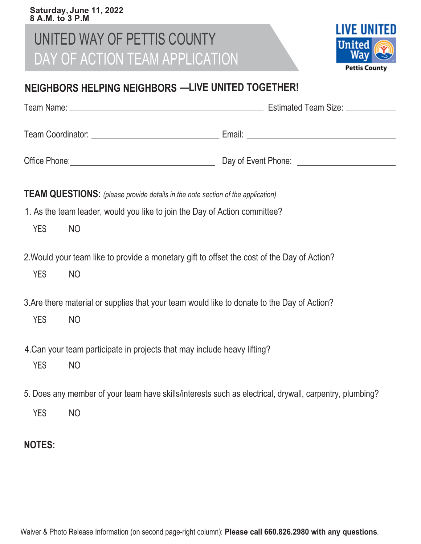#### **Saturday, June 11, 2022 8 A.M. to 3 P.M**

## UNITED WAY OF PETTIS COUNTY DAY OF ACTION TEAM APPLICATION



### **NEIGHBORS HELPING NEIGHBORS —LIVE UNITED TOGETHER!**

|                   | Estimated Team Size: <u>New York and Team</u> |
|-------------------|-----------------------------------------------|
| Team Coordinator: | Email:                                        |
| Office Phone:     | Day of Event Phone:                           |

**TEAM QUESTIONS:** *(please provide details in the note section of the application)*

- 1. As the team leader, would you like to join the Day of Action committee?
	- YES NO
- 2.Would your team like to provide a monetary gift to offset the cost of the Day of Action?
	- YES NO
- 3.Are there material or supplies that your team would like to donate to the Day of Action?
	- YES NO
- 4.Can your team participate in projects that may include heavy lifting?
	- YES NO
- 5. Does any member of your team have skills/interests such as electrical, drywall, carpentry, plumbing?
	- YES NO
- **NOTES:**

Waiver & Photo Release Information (on second page-right column): **Please call 660.826.2980 with any questions**.